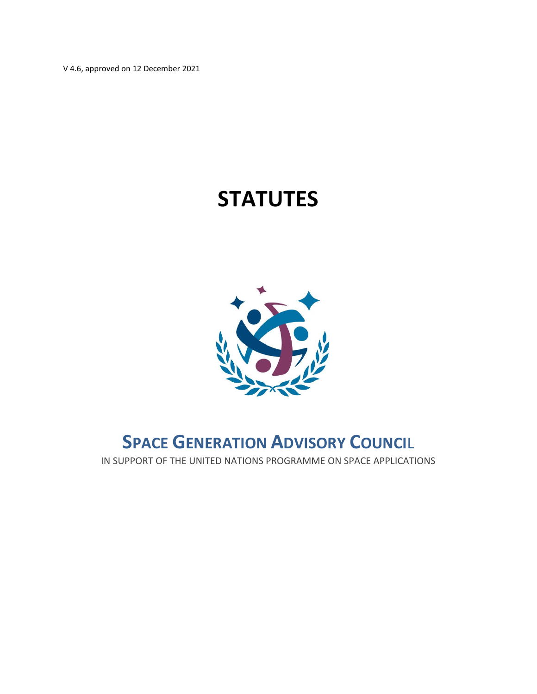V 4.6, approved on 12 December 2021

## **STATUTES**



### **SPACE GENERATION ADVISORY COUNCI**L

IN SUPPORT OF THE UNITED NATIONS PROGRAMME ON SPACE APPLICATIONS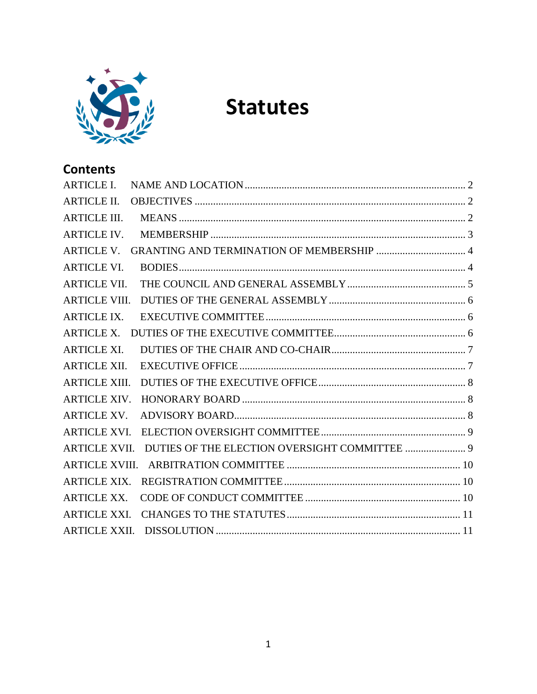

# **Statutes**

### **Contents**

| <b>ARTICLE I.</b>     |  |
|-----------------------|--|
| <b>ARTICLE II.</b>    |  |
| <b>ARTICLE III.</b>   |  |
| <b>ARTICLE IV.</b>    |  |
| <b>ARTICLE V.</b>     |  |
| <b>ARTICLE VI.</b>    |  |
| <b>ARTICLE VII.</b>   |  |
| <b>ARTICLE VIII.</b>  |  |
| <b>ARTICLE IX.</b>    |  |
| <b>ARTICLE X.</b>     |  |
| <b>ARTICLE XI.</b>    |  |
| <b>ARTICLE XII.</b>   |  |
| <b>ARTICLE XIII.</b>  |  |
| <b>ARTICLE XIV.</b>   |  |
| <b>ARTICLE XV.</b>    |  |
| <b>ARTICLE XVI.</b>   |  |
| <b>ARTICLE XVII.</b>  |  |
| <b>ARTICLE XVIII.</b> |  |
| <b>ARTICLE XIX.</b>   |  |
| <b>ARTICLE XX.</b>    |  |
| <b>ARTICLE XXI.</b>   |  |
| ARTICLE XXII.         |  |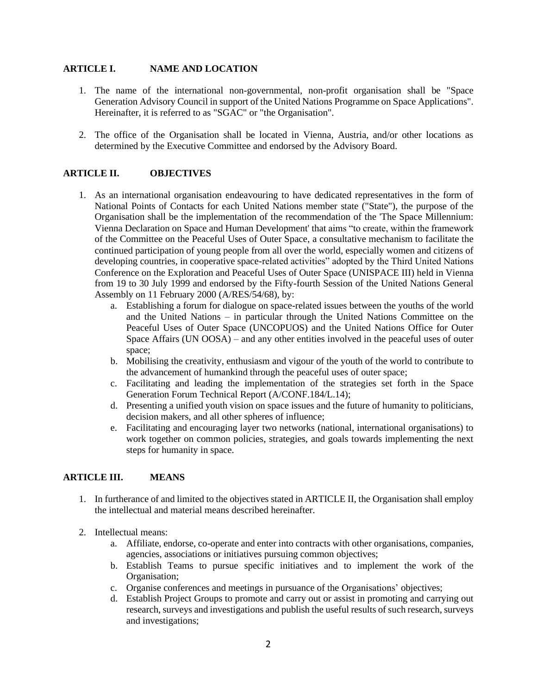#### <span id="page-2-0"></span>**ARTICLE I. NAME AND LOCATION**

- 1. The name of the international non-governmental, non-profit organisation shall be "Space Generation Advisory Council in support of the United Nations Programme on Space Applications". Hereinafter, it is referred to as "SGAC" or "the Organisation".
- 2. The office of the Organisation shall be located in Vienna, Austria, and/or other locations as determined by the Executive Committee and endorsed by the Advisory Board.

#### <span id="page-2-1"></span>**ARTICLE II. OBJECTIVES**

- 1. As an international organisation endeavouring to have dedicated representatives in the form of National Points of Contacts for each United Nations member state ("State"), the purpose of the Organisation shall be the implementation of the recommendation of the 'The Space Millennium: Vienna Declaration on Space and Human Development' that aims "to create, within the framework of the Committee on the Peaceful Uses of Outer Space, a consultative mechanism to facilitate the continued participation of young people from all over the world, especially women and citizens of developing countries, in cooperative space-related activities" adopted by the Third United Nations Conference on the Exploration and Peaceful Uses of Outer Space (UNISPACE III) held in Vienna from 19 to 30 July 1999 and endorsed by the Fifty-fourth Session of the United Nations General Assembly on 11 February 2000 (A/RES/54/68), by:
	- a. Establishing a forum for dialogue on space-related issues between the youths of the world and the United Nations – in particular through the United Nations Committee on the Peaceful Uses of Outer Space (UNCOPUOS) and the United Nations Office for Outer Space Affairs (UN OOSA) – and any other entities involved in the peaceful uses of outer space;
	- b. Mobilising the creativity, enthusiasm and vigour of the youth of the world to contribute to the advancement of humankind through the peaceful uses of outer space;
	- c. Facilitating and leading the implementation of the strategies set forth in the Space Generation Forum Technical Report (A/CONF.184/L.14);
	- d. Presenting a unified youth vision on space issues and the future of humanity to politicians, decision makers, and all other spheres of influence;
	- e. Facilitating and encouraging layer two networks (national, international organisations) to work together on common policies, strategies, and goals towards implementing the next steps for humanity in space.

#### <span id="page-2-2"></span>**ARTICLE III. MEANS**

- 1. In furtherance of and limited to the objectives stated in ARTICLE II, the Organisation shall employ the intellectual and material means described hereinafter.
- 2. Intellectual means:
	- a. Affiliate, endorse, co-operate and enter into contracts with other organisations, companies, agencies, associations or initiatives pursuing common objectives;
	- b. Establish Teams to pursue specific initiatives and to implement the work of the Organisation;
	- c. Organise conferences and meetings in pursuance of the Organisations' objectives;
	- d. Establish Project Groups to promote and carry out or assist in promoting and carrying out research, surveys and investigations and publish the useful results of such research, surveys and investigations;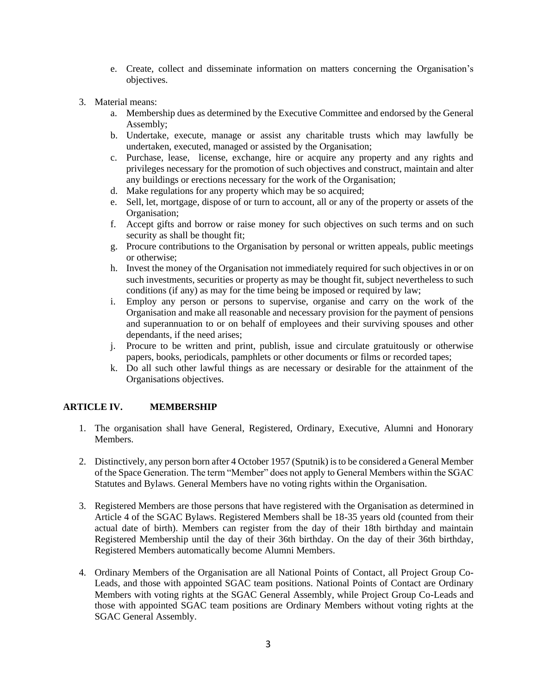- e. Create, collect and disseminate information on matters concerning the Organisation's objectives.
- 3. Material means:
	- a. Membership dues as determined by the Executive Committee and endorsed by the General Assembly;
	- b. Undertake, execute, manage or assist any charitable trusts which may lawfully be undertaken, executed, managed or assisted by the Organisation;
	- c. Purchase, lease, license, exchange, hire or acquire any property and any rights and privileges necessary for the promotion of such objectives and construct, maintain and alter any buildings or erections necessary for the work of the Organisation;
	- d. Make regulations for any property which may be so acquired;
	- e. Sell, let, mortgage, dispose of or turn to account, all or any of the property or assets of the Organisation;
	- f. Accept gifts and borrow or raise money for such objectives on such terms and on such security as shall be thought fit;
	- g. Procure contributions to the Organisation by personal or written appeals, public meetings or otherwise;
	- h. Invest the money of the Organisation not immediately required for such objectives in or on such investments, securities or property as may be thought fit, subject nevertheless to such conditions (if any) as may for the time being be imposed or required by law;
	- i. Employ any person or persons to supervise, organise and carry on the work of the Organisation and make all reasonable and necessary provision for the payment of pensions and superannuation to or on behalf of employees and their surviving spouses and other dependants, if the need arises;
	- j. Procure to be written and print, publish, issue and circulate gratuitously or otherwise papers, books, periodicals, pamphlets or other documents or films or recorded tapes;
	- k. Do all such other lawful things as are necessary or desirable for the attainment of the Organisations objectives.

#### <span id="page-3-0"></span>**ARTICLE IV. MEMBERSHIP**

- 1. The organisation shall have General, Registered, Ordinary, Executive, Alumni and Honorary Members.
- 2. Distinctively, any person born after 4 October 1957 (Sputnik) is to be considered a General Member of the Space Generation. The term "Member" does not apply to General Members within the SGAC Statutes and Bylaws. General Members have no voting rights within the Organisation.
- 3. Registered Members are those persons that have registered with the Organisation as determined in Article 4 of the SGAC Bylaws. Registered Members shall be 18-35 years old (counted from their actual date of birth). Members can register from the day of their 18th birthday and maintain Registered Membership until the day of their 36th birthday. On the day of their 36th birthday, Registered Members automatically become Alumni Members.
- 4. Ordinary Members of the Organisation are all National Points of Contact, all Project Group Co-Leads, and those with appointed SGAC team positions. National Points of Contact are Ordinary Members with voting rights at the SGAC General Assembly, while Project Group Co-Leads and those with appointed SGAC team positions are Ordinary Members without voting rights at the SGAC General Assembly.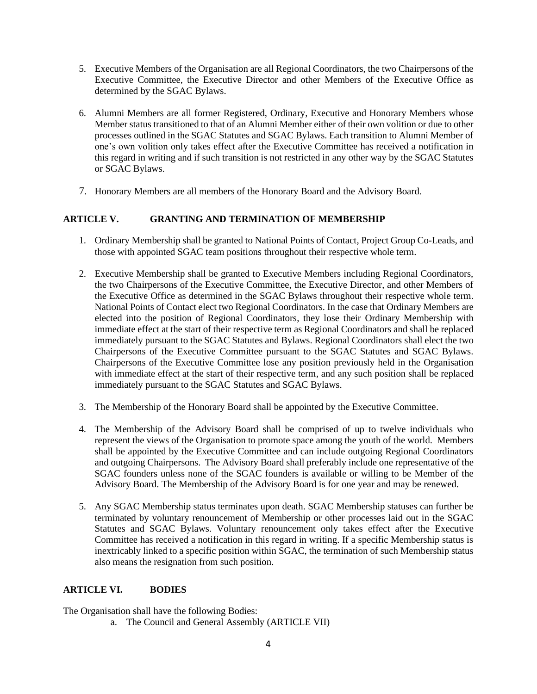- 5. Executive Members of the Organisation are all Regional Coordinators, the two Chairpersons of the Executive Committee, the Executive Director and other Members of the Executive Office as determined by the SGAC Bylaws.
- 6. Alumni Members are all former Registered, Ordinary, Executive and Honorary Members whose Member status transitioned to that of an Alumni Member either of their own volition or due to other processes outlined in the SGAC Statutes and SGAC Bylaws. Each transition to Alumni Member of one's own volition only takes effect after the Executive Committee has received a notification in this regard in writing and if such transition is not restricted in any other way by the SGAC Statutes or SGAC Bylaws.
- 7. Honorary Members are all members of the Honorary Board and the Advisory Board.

#### <span id="page-4-0"></span>**ARTICLE V. GRANTING AND TERMINATION OF MEMBERSHIP**

- 1. Ordinary Membership shall be granted to National Points of Contact, Project Group Co-Leads, and those with appointed SGAC team positions throughout their respective whole term.
- 2. Executive Membership shall be granted to Executive Members including Regional Coordinators, the two Chairpersons of the Executive Committee, the Executive Director, and other Members of the Executive Office as determined in the SGAC Bylaws throughout their respective whole term. National Points of Contact elect two Regional Coordinators. In the case that Ordinary Members are elected into the position of Regional Coordinators, they lose their Ordinary Membership with immediate effect at the start of their respective term as Regional Coordinators and shall be replaced immediately pursuant to the SGAC Statutes and Bylaws. Regional Coordinators shall elect the two Chairpersons of the Executive Committee pursuant to the SGAC Statutes and SGAC Bylaws. Chairpersons of the Executive Committee lose any position previously held in the Organisation with immediate effect at the start of their respective term, and any such position shall be replaced immediately pursuant to the SGAC Statutes and SGAC Bylaws.
- 3. The Membership of the Honorary Board shall be appointed by the Executive Committee.
- 4. The Membership of the Advisory Board shall be comprised of up to twelve individuals who represent the views of the Organisation to promote space among the youth of the world. Members shall be appointed by the Executive Committee and can include outgoing Regional Coordinators and outgoing Chairpersons. The Advisory Board shall preferably include one representative of the SGAC founders unless none of the SGAC founders is available or willing to be Member of the Advisory Board. The Membership of the Advisory Board is for one year and may be renewed.
- 5. Any SGAC Membership status terminates upon death. SGAC Membership statuses can further be terminated by voluntary renouncement of Membership or other processes laid out in the SGAC Statutes and SGAC Bylaws. Voluntary renouncement only takes effect after the Executive Committee has received a notification in this regard in writing. If a specific Membership status is inextricably linked to a specific position within SGAC, the termination of such Membership status also means the resignation from such position.

#### <span id="page-4-1"></span>**ARTICLE VI. BODIES**

The Organisation shall have the following Bodies:

a. The Council and General Assembly (ARTICLE VII)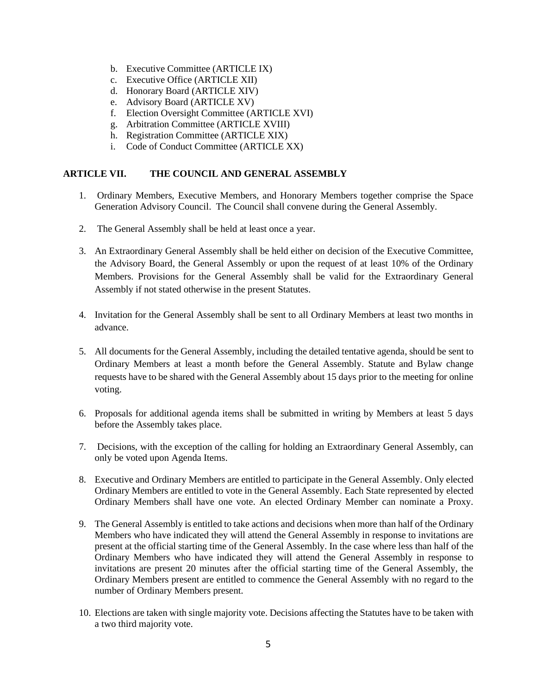- b. Executive Committee (ARTICLE IX)
- c. Executive Office (ARTICLE XII)
- d. Honorary Board (ARTICLE XIV)
- e. Advisory Board (ARTICLE XV)
- f. Election Oversight Committee (ARTICLE XVI)
- g. Arbitration Committee (ARTICLE XVIII)
- h. Registration Committee (ARTICLE XIX)
- i. Code of Conduct Committee (ARTICLE XX)

#### <span id="page-5-0"></span>**ARTICLE VII. THE COUNCIL AND GENERAL ASSEMBLY**

- 1. Ordinary Members, Executive Members, and Honorary Members together comprise the Space Generation Advisory Council. The Council shall convene during the General Assembly.
- 2. The General Assembly shall be held at least once a year.
- 3. An Extraordinary General Assembly shall be held either on decision of the Executive Committee, the Advisory Board, the General Assembly or upon the request of at least 10% of the Ordinary Members. Provisions for the General Assembly shall be valid for the Extraordinary General Assembly if not stated otherwise in the present Statutes.
- 4. Invitation for the General Assembly shall be sent to all Ordinary Members at least two months in advance.
- 5. All documents for the General Assembly, including the detailed tentative agenda, should be sent to Ordinary Members at least a month before the General Assembly. Statute and Bylaw change requests have to be shared with the General Assembly about 15 days prior to the meeting for online voting.
- 6. Proposals for additional agenda items shall be submitted in writing by Members at least 5 days before the Assembly takes place.
- 7. Decisions, with the exception of the calling for holding an Extraordinary General Assembly, can only be voted upon Agenda Items.
- 8. Executive and Ordinary Members are entitled to participate in the General Assembly. Only elected Ordinary Members are entitled to vote in the General Assembly. Each State represented by elected Ordinary Members shall have one vote. An elected Ordinary Member can nominate a Proxy.
- 9. The General Assembly is entitled to take actions and decisions when more than half of the Ordinary Members who have indicated they will attend the General Assembly in response to invitations are present at the official starting time of the General Assembly. In the case where less than half of the Ordinary Members who have indicated they will attend the General Assembly in response to invitations are present 20 minutes after the official starting time of the General Assembly, the Ordinary Members present are entitled to commence the General Assembly with no regard to the number of Ordinary Members present.
- 10. Elections are taken with single majority vote. Decisions affecting the Statutes have to be taken with a two third majority vote.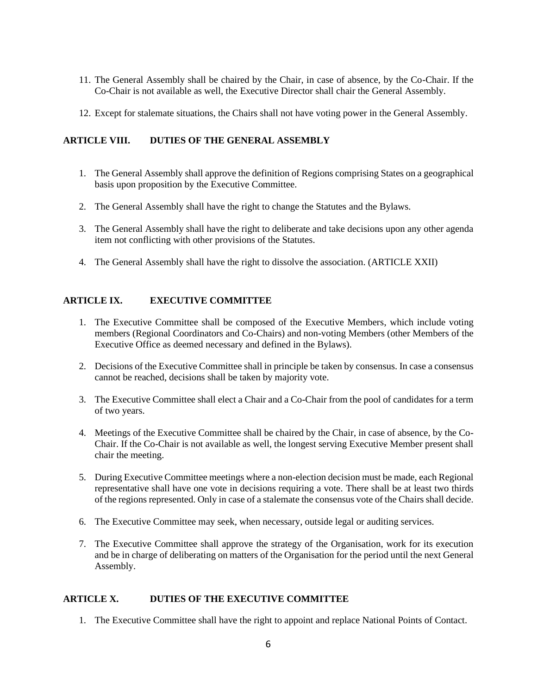- 11. The General Assembly shall be chaired by the Chair, in case of absence, by the Co-Chair. If the Co-Chair is not available as well, the Executive Director shall chair the General Assembly.
- 12. Except for stalemate situations, the Chairs shall not have voting power in the General Assembly.

#### <span id="page-6-0"></span>**ARTICLE VIII. DUTIES OF THE GENERAL ASSEMBLY**

- 1. The General Assembly shall approve the definition of Regions comprising States on a geographical basis upon proposition by the Executive Committee.
- 2. The General Assembly shall have the right to change the Statutes and the Bylaws.
- 3. The General Assembly shall have the right to deliberate and take decisions upon any other agenda item not conflicting with other provisions of the Statutes.
- 4. The General Assembly shall have the right to dissolve the association. (ARTICLE XXII)

#### <span id="page-6-1"></span>**ARTICLE IX. EXECUTIVE COMMITTEE**

- 1. The Executive Committee shall be composed of the Executive Members, which include voting members (Regional Coordinators and Co-Chairs) and non-voting Members (other Members of the Executive Office as deemed necessary and defined in the Bylaws).
- 2. Decisions of the Executive Committee shall in principle be taken by consensus. In case a consensus cannot be reached, decisions shall be taken by majority vote.
- 3. The Executive Committee shall elect a Chair and a Co-Chair from the pool of candidates for a term of two years.
- 4. Meetings of the Executive Committee shall be chaired by the Chair, in case of absence, by the Co-Chair. If the Co-Chair is not available as well, the longest serving Executive Member present shall chair the meeting.
- 5. During Executive Committee meetings where a non-election decision must be made, each Regional representative shall have one vote in decisions requiring a vote. There shall be at least two thirds of the regions represented. Only in case of a stalemate the consensus vote of the Chairs shall decide.
- 6. The Executive Committee may seek, when necessary, outside legal or auditing services.
- 7. The Executive Committee shall approve the strategy of the Organisation, work for its execution and be in charge of deliberating on matters of the Organisation for the period until the next General Assembly.

#### <span id="page-6-2"></span>**ARTICLE X. DUTIES OF THE EXECUTIVE COMMITTEE**

1. The Executive Committee shall have the right to appoint and replace National Points of Contact.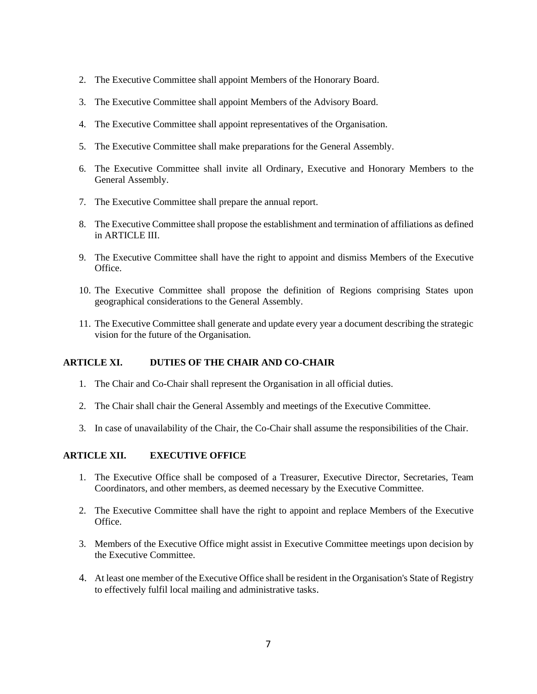- 2. The Executive Committee shall appoint Members of the Honorary Board.
- 3. The Executive Committee shall appoint Members of the Advisory Board.
- 4. The Executive Committee shall appoint representatives of the Organisation.
- 5. The Executive Committee shall make preparations for the General Assembly.
- 6. The Executive Committee shall invite all Ordinary, Executive and Honorary Members to the General Assembly.
- 7. The Executive Committee shall prepare the annual report.
- 8. The Executive Committee shall propose the establishment and termination of affiliations as defined in ARTICLE III.
- 9. The Executive Committee shall have the right to appoint and dismiss Members of the Executive Office.
- 10. The Executive Committee shall propose the definition of Regions comprising States upon geographical considerations to the General Assembly.
- 11. The Executive Committee shall generate and update every year a document describing the strategic vision for the future of the Organisation.

#### <span id="page-7-0"></span>**ARTICLE XI. DUTIES OF THE CHAIR AND CO-CHAIR**

- 1. The Chair and Co-Chair shall represent the Organisation in all official duties.
- 2. The Chair shall chair the General Assembly and meetings of the Executive Committee.
- 3. In case of unavailability of the Chair, the Co-Chair shall assume the responsibilities of the Chair.

#### <span id="page-7-1"></span>**ARTICLE XII. EXECUTIVE OFFICE**

- 1. The Executive Office shall be composed of a Treasurer, Executive Director, Secretaries, Team Coordinators, and other members, as deemed necessary by the Executive Committee.
- 2. The Executive Committee shall have the right to appoint and replace Members of the Executive Office.
- 3. Members of the Executive Office might assist in Executive Committee meetings upon decision by the Executive Committee.
- 4. At least one member of the Executive Office shall be resident in the Organisation's State of Registry to effectively fulfil local mailing and administrative tasks.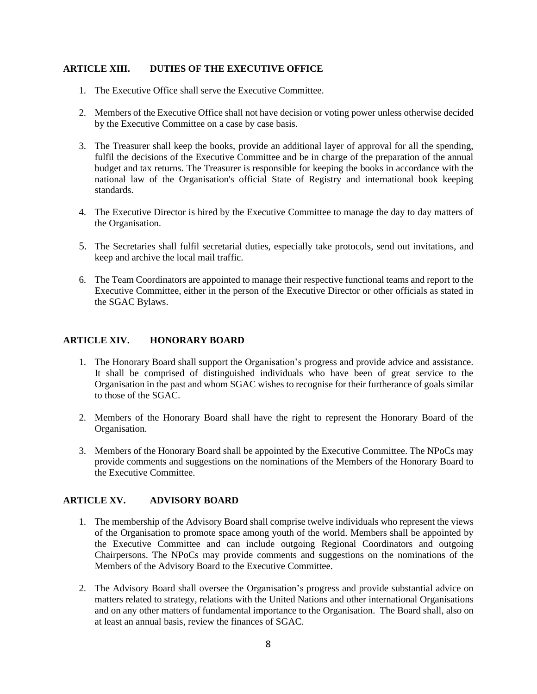#### <span id="page-8-0"></span>**ARTICLE XIII. DUTIES OF THE EXECUTIVE OFFICE**

- 1. The Executive Office shall serve the Executive Committee.
- 2. Members of the Executive Office shall not have decision or voting power unless otherwise decided by the Executive Committee on a case by case basis.
- 3. The Treasurer shall keep the books, provide an additional layer of approval for all the spending, fulfil the decisions of the Executive Committee and be in charge of the preparation of the annual budget and tax returns. The Treasurer is responsible for keeping the books in accordance with the national law of the Organisation's official State of Registry and international book keeping standards.
- 4. The Executive Director is hired by the Executive Committee to manage the day to day matters of the Organisation.
- 5. The Secretaries shall fulfil secretarial duties, especially take protocols, send out invitations, and keep and archive the local mail traffic.
- 6. The Team Coordinators are appointed to manage their respective functional teams and report to the Executive Committee, either in the person of the Executive Director or other officials as stated in the SGAC Bylaws.

#### <span id="page-8-1"></span>**ARTICLE XIV. HONORARY BOARD**

- 1. The Honorary Board shall support the Organisation's progress and provide advice and assistance. It shall be comprised of distinguished individuals who have been of great service to the Organisation in the past and whom SGAC wishes to recognise for their furtherance of goals similar to those of the SGAC.
- 2. Members of the Honorary Board shall have the right to represent the Honorary Board of the Organisation.
- 3. Members of the Honorary Board shall be appointed by the Executive Committee. The NPoCs may provide comments and suggestions on the nominations of the Members of the Honorary Board to the Executive Committee.

#### <span id="page-8-2"></span>**ARTICLE XV. ADVISORY BOARD**

- 1. The membership of the Advisory Board shall comprise twelve individuals who represent the views of the Organisation to promote space among youth of the world. Members shall be appointed by the Executive Committee and can include outgoing Regional Coordinators and outgoing Chairpersons. The NPoCs may provide comments and suggestions on the nominations of the Members of the Advisory Board to the Executive Committee.
- 2. The Advisory Board shall oversee the Organisation's progress and provide substantial advice on matters related to strategy, relations with the United Nations and other international Organisations and on any other matters of fundamental importance to the Organisation. The Board shall, also on at least an annual basis, review the finances of SGAC.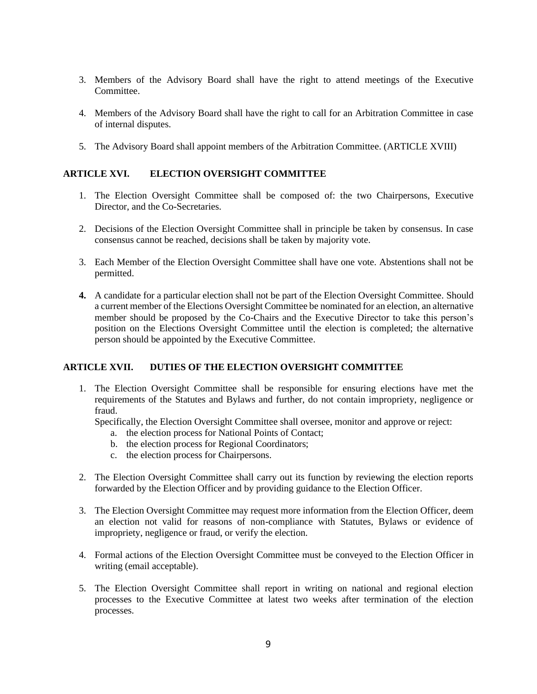- 3. Members of the Advisory Board shall have the right to attend meetings of the Executive **Committee**
- 4. Members of the Advisory Board shall have the right to call for an Arbitration Committee in case of internal disputes.
- 5. The Advisory Board shall appoint members of the Arbitration Committee. (ARTICLE XVIII)

#### <span id="page-9-0"></span>**ARTICLE XVI. ELECTION OVERSIGHT COMMITTEE**

- 1. The Election Oversight Committee shall be composed of: the two Chairpersons, Executive Director, and the Co-Secretaries.
- 2. Decisions of the Election Oversight Committee shall in principle be taken by consensus. In case consensus cannot be reached, decisions shall be taken by majority vote.
- 3. Each Member of the Election Oversight Committee shall have one vote. Abstentions shall not be permitted.
- **4.** A candidate for a particular election shall not be part of the Election Oversight Committee. Should a current member of the Elections Oversight Committee be nominated for an election, an alternative member should be proposed by the Co-Chairs and the Executive Director to take this person's position on the Elections Oversight Committee until the election is completed; the alternative person should be appointed by the Executive Committee.

#### <span id="page-9-1"></span>**ARTICLE XVII. DUTIES OF THE ELECTION OVERSIGHT COMMITTEE**

1. The Election Oversight Committee shall be responsible for ensuring elections have met the requirements of the Statutes and Bylaws and further, do not contain impropriety, negligence or fraud.

Specifically, the Election Oversight Committee shall oversee, monitor and approve or reject:

- a. the election process for National Points of Contact;
- b. the election process for Regional Coordinators;
- c. the election process for Chairpersons.
- 2. The Election Oversight Committee shall carry out its function by reviewing the election reports forwarded by the Election Officer and by providing guidance to the Election Officer.
- 3. The Election Oversight Committee may request more information from the Election Officer, deem an election not valid for reasons of non-compliance with Statutes, Bylaws or evidence of impropriety, negligence or fraud, or verify the election.
- 4. Formal actions of the Election Oversight Committee must be conveyed to the Election Officer in writing (email acceptable).
- 5. The Election Oversight Committee shall report in writing on national and regional election processes to the Executive Committee at latest two weeks after termination of the election processes.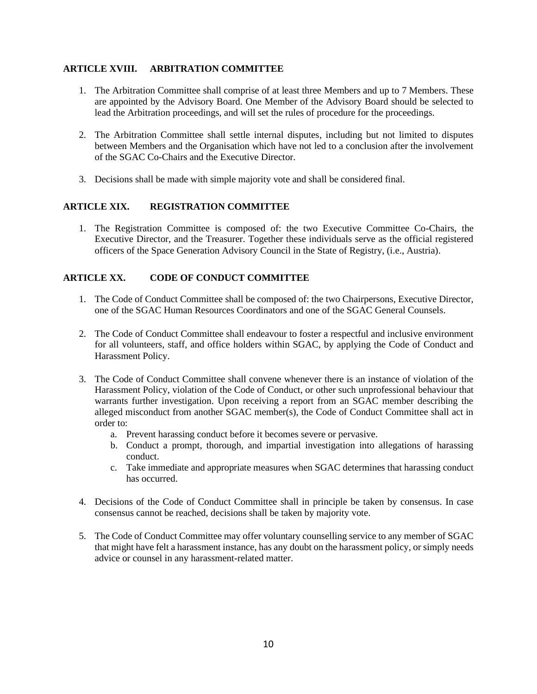#### <span id="page-10-0"></span>**ARTICLE XVIII. ARBITRATION COMMITTEE**

- 1. The Arbitration Committee shall comprise of at least three Members and up to 7 Members. These are appointed by the Advisory Board. One Member of the Advisory Board should be selected to lead the Arbitration proceedings, and will set the rules of procedure for the proceedings.
- 2. The Arbitration Committee shall settle internal disputes, including but not limited to disputes between Members and the Organisation which have not led to a conclusion after the involvement of the SGAC Co-Chairs and the Executive Director.
- 3. Decisions shall be made with simple majority vote and shall be considered final.

#### <span id="page-10-1"></span>**ARTICLE XIX. REGISTRATION COMMITTEE**

1. The Registration Committee is composed of: the two Executive Committee Co-Chairs, the Executive Director, and the Treasurer. Together these individuals serve as the official registered officers of the Space Generation Advisory Council in the State of Registry, (i.e., Austria).

#### <span id="page-10-2"></span>**ARTICLE XX. CODE OF CONDUCT COMMITTEE**

- 1. The Code of Conduct Committee shall be composed of: the two Chairpersons, Executive Director, one of the SGAC Human Resources Coordinators and one of the SGAC General Counsels.
- 2. The Code of Conduct Committee shall endeavour to foster a respectful and inclusive environment for all volunteers, staff, and office holders within SGAC, by applying the Code of Conduct and Harassment Policy.
- 3. The Code of Conduct Committee shall convene whenever there is an instance of violation of the Harassment Policy, violation of the Code of Conduct, or other such unprofessional behaviour that warrants further investigation. Upon receiving a report from an SGAC member describing the alleged misconduct from another SGAC member(s), the Code of Conduct Committee shall act in order to:
	- a. Prevent harassing conduct before it becomes severe or pervasive.
	- b. Conduct a prompt, thorough, and impartial investigation into allegations of harassing conduct.
	- c. Take immediate and appropriate measures when SGAC determines that harassing conduct has occurred.
- 4. Decisions of the Code of Conduct Committee shall in principle be taken by consensus. In case consensus cannot be reached, decisions shall be taken by majority vote.
- 5. The Code of Conduct Committee may offer voluntary counselling service to any member of SGAC that might have felt a harassment instance, has any doubt on the harassment policy, or simply needs advice or counsel in any harassment-related matter.